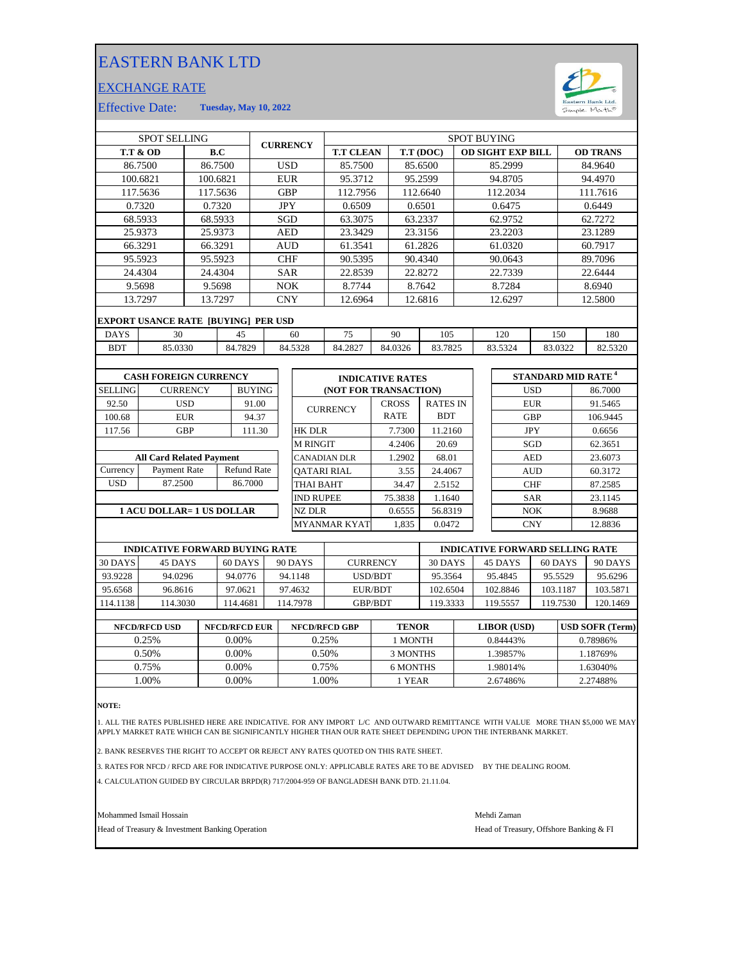## EASTERN BANK LTD

## EXCHANGE RATE



Effective Date: **Tuesday, May 10, 2022**

|                | <b>SPOT SELLING</b>                        |                 |          |               | <b>CURRENCY</b>     |                         |              |         |                 | <b>SPOT BUYING</b> |                          |            |                                |
|----------------|--------------------------------------------|-----------------|----------|---------------|---------------------|-------------------------|--------------|---------|-----------------|--------------------|--------------------------|------------|--------------------------------|
|                | <b>T.T &amp; OD</b>                        |                 | B.C      |               |                     | <b>T.T CLEAN</b>        |              |         | T.T (DOC)       |                    | <b>OD SIGHT EXP BILL</b> |            | <b>OD TRANS</b>                |
|                | 86.7500                                    |                 | 86.7500  |               | <b>USD</b>          | 85.7500                 |              |         | 85.6500         |                    | 85.2999                  |            | 84.9640                        |
|                | 100.6821                                   |                 | 100.6821 |               | <b>EUR</b>          | 95.3712                 |              |         | 95.2599         |                    | 94.8705                  |            | 94.4970                        |
|                | 117.5636                                   |                 | 117.5636 |               | <b>GBP</b>          | 112.7956                |              |         | 112.6640        |                    | 112.2034                 |            | 111.7616                       |
|                | 0.7320                                     |                 | 0.7320   |               | JPY                 | 0.6509                  |              |         | 0.6501          |                    | 0.6475                   |            | 0.6449                         |
|                | 68.5933                                    |                 | 68.5933  |               | SGD                 | 63.3075                 |              |         | 63.2337         |                    | 62.9752                  |            | 62.7272                        |
|                | 25.9373                                    |                 | 25.9373  |               | <b>AED</b>          | 23.3429                 |              |         | 23.3156         |                    | 23.2203                  |            | 23.1289                        |
|                | 66.3291                                    |                 | 66.3291  |               | <b>AUD</b>          | 61.3541                 |              |         | 61.2826         |                    | 61.0320                  |            | 60.7917                        |
|                | 95.5923                                    |                 | 95.5923  |               | <b>CHF</b>          | 90.5395                 |              |         | 90.4340         |                    | 90.0643                  |            | 89.7096                        |
|                | 24.4304                                    |                 | 24.4304  |               | <b>SAR</b>          | 22.8539                 |              |         | 22.8272         |                    | 22.7339                  |            | 22.6444                        |
|                | 9.5698                                     |                 | 9.5698   |               | <b>NOK</b>          | 8.7744                  |              |         | 8.7642          |                    | 8.7284                   |            | 8.6940                         |
|                | 13.7297                                    |                 | 13.7297  |               | <b>CNY</b>          | 12.6964                 |              |         | 12.6816         |                    | 12.6297                  |            | 12.5800                        |
|                | <b>EXPORT USANCE RATE [BUYING] PER USD</b> |                 |          |               |                     |                         |              |         |                 |                    |                          |            |                                |
| <b>DAYS</b>    | 30                                         |                 | 45       |               | 60                  | 75                      |              | 90      | 105             |                    | 120                      | 150        | 180                            |
| <b>BDT</b>     | 85.0330                                    |                 | 84.7829  |               | 84.5328             | 84.2827                 |              | 84.0326 | 83.7825         |                    | 83.5324                  | 83.0322    | 82.5320                        |
|                |                                            |                 |          |               |                     |                         |              |         |                 |                    |                          |            |                                |
|                | <b>CASH FOREIGN CURRENCY</b>               |                 |          |               |                     | <b>INDICATIVE RATES</b> |              |         |                 |                    |                          |            | STANDARD MID RATE <sup>4</sup> |
| <b>SELLING</b> |                                            | <b>CURRENCY</b> |          | <b>BUYING</b> |                     | (NOT FOR TRANSACTION)   |              |         |                 |                    |                          | <b>USD</b> | 86.7000                        |
| 92.50          |                                            | <b>USD</b>      |          | 91.00         |                     | <b>CURRENCY</b>         | <b>CROSS</b> |         | <b>RATES IN</b> |                    |                          | <b>EUR</b> | 91.5465                        |
| 100.68         |                                            | <b>EUR</b>      |          | 94.37         |                     |                         | <b>RATE</b>  |         | <b>BDT</b>      |                    |                          | <b>GBP</b> | 106.9445                       |
| 117.56         |                                            | <b>GBP</b>      |          | 111.30        | <b>HK DLR</b>       |                         |              | 7.7300  | 11.2160         |                    |                          | <b>JPY</b> | 0.6656                         |
|                |                                            |                 |          |               | <b>M RINGIT</b>     |                         |              | 4.2406  | 20.69           |                    |                          | SGD        | 62.3651                        |
|                | <b>All Card Related Payment</b>            |                 |          |               | <b>CANADIAN DLR</b> |                         |              | 1.2902  | 68.01           |                    |                          | <b>AED</b> | 23.6073                        |

|          | <b>All Card Related Payment</b> |                    |
|----------|---------------------------------|--------------------|
| Currency | Payment Rate                    | <b>Refund Rate</b> |
| USD      | 87.2500                         | 86.7000            |
|          |                                 |                    |

**1 ACU DOLLAR= 1 US DOLLAR**

| INDICATIVE RATES      |              |                 |  |  |  |  |  |
|-----------------------|--------------|-----------------|--|--|--|--|--|
| (NOT FOR TRANSACTION) |              |                 |  |  |  |  |  |
|                       | <b>CROSS</b> | <b>RATES IN</b> |  |  |  |  |  |
| <b>CURRENCY</b>       | <b>RATE</b>  | <b>BDT</b>      |  |  |  |  |  |
| HK DLR                | 7.7300       | 11.2160         |  |  |  |  |  |
| M RINGIT              | 4.2406       | 20.69           |  |  |  |  |  |
| CANADIAN DLR          | 1.2902       | 68.01           |  |  |  |  |  |
| QATARI RIAL           | 3.55         | 24.4067         |  |  |  |  |  |
| THAI BAHT             | 34.47        | 2.5152          |  |  |  |  |  |
| <b>IND RUPEE</b>      | 75.3838      | 1.1640          |  |  |  |  |  |
| NZ DLR                | 0.6555       | 56.8319         |  |  |  |  |  |
| MYANMAR KYAT          | 1.835        | 0.0472          |  |  |  |  |  |

| <b>INDICATIVE FORWARD BUYING RATE</b> |          |          |          |                 | <b>INDICATIVE FORWARD SELLING RATE</b> |          |          |          |  |
|---------------------------------------|----------|----------|----------|-----------------|----------------------------------------|----------|----------|----------|--|
| 30 DAYS                               | 45 DAYS  | 60 DAYS  | 90 DAYS  | <b>CURRENCY</b> | 30 DAYS                                | 45 DAYS  | 60 DAYS  | 90 DAYS  |  |
| 93.9228                               | 94.0296  | 94.0776  | 94.1148  | USD/BDT         | 95.3564                                | 95.4845  | 95.5529  | 95.6296  |  |
| 95.6568                               | 96.8616  | 97.0621  | 97.4632  | EUR/BDT         | 102.6504                               | 102.8846 | 103.1187 | 103.5871 |  |
| 114.1138                              | 114.3030 | 114.4681 | 114.7978 | <b>GBP/BDT</b>  | 119.3333                               | 119.5557 | 119.7530 | 120.1469 |  |
|                                       |          |          |          |                 |                                        |          |          |          |  |

| <b>NFCD/RFCD USD</b> | <b>NFCD/RFCD EUR</b> | <b>NFCD/RFCD GBP</b> | <b>TENOR</b> | <b>LIBOR</b> (USD) | <b>USD SOFR (Term)</b> |
|----------------------|----------------------|----------------------|--------------|--------------------|------------------------|
| 0.25%                | 0.00%                | 0.25%                | 1 MONTH      | 0.84443\%          | 0.78986%               |
| 0.50%                | 0.00%                | 0.50%                | 3 MONTHS     | 1.39857%           | 1.18769%               |
| 0.75%                | 0.00%                | 0.75%                | 6 MONTHS     | .98014%            | .63040%                |
| .00%                 | 0.00%                | .00%                 | 1 YEAR       | 2.67486%           | 2.27488%               |
|                      |                      |                      |              |                    |                        |

**NOTE:**

1. ALL THE RATES PUBLISHED HERE ARE INDICATIVE. FOR ANY IMPORT L/C AND OUTWARD REMITTANCE WITH VALUE MORE THAN \$5,000 WE MAY APPLY MARKET RATE WHICH CAN BE SIGNIFICANTLY HIGHER THAN OUR RATE SHEET DEPENDING UPON THE INTERBANK MARKET.

2. BANK RESERVES THE RIGHT TO ACCEPT OR REJECT ANY RATES QUOTED ON THIS RATE SHEET.

3. RATES FOR NFCD / RFCD ARE FOR INDICATIVE PURPOSE ONLY: APPLICABLE RATES ARE TO BE ADVISED BY THE DEALING ROOM.

4. CALCULATION GUIDED BY CIRCULAR BRPD(R) 717/2004-959 OF BANGLADESH BANK DTD. 21.11.04.

Mohammed Ismail Hossain Mehdi Zaman

Head of Treasury & Investment Banking Operation **Head of Treasury, Offshore Banking & FI** 

CNY 12.8836

60.3172

87.2585

8.9688 23.1145

AUD

SAR

 $NOK$ 

CHF